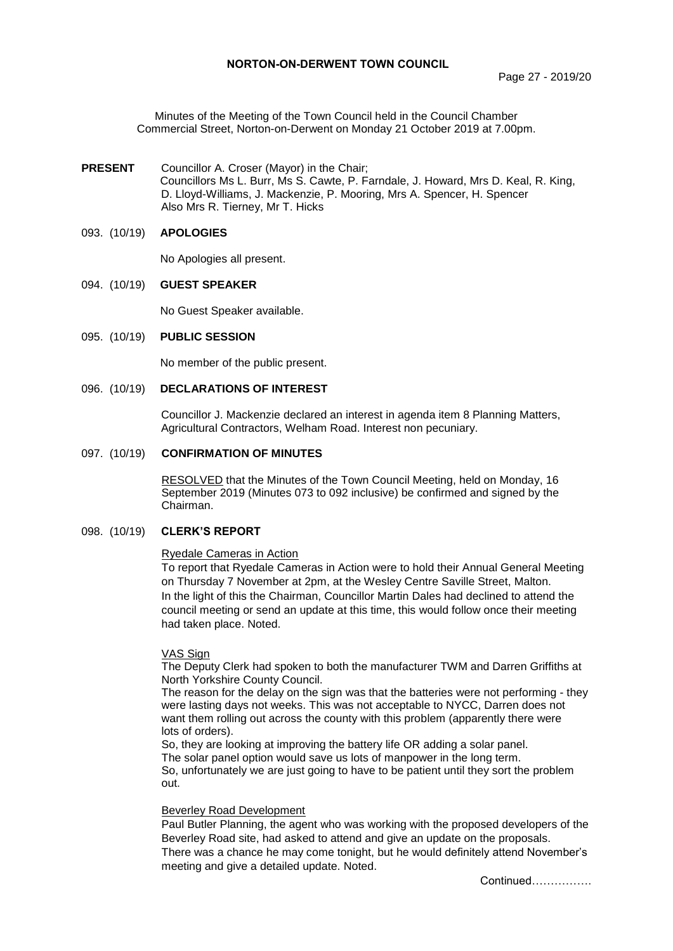Minutes of the Meeting of the Town Council held in the Council Chamber Commercial Street, Norton-on-Derwent on Monday 21 October 2019 at 7.00pm.

**PRESENT** Councillor A. Croser (Mayor) in the Chair; Councillors Ms L. Burr, Ms S. Cawte, P. Farndale, J. Howard, Mrs D. Keal, R. King, D. Lloyd-Williams, J. Mackenzie, P. Mooring, Mrs A. Spencer, H. Spencer Also Mrs R. Tierney, Mr T. Hicks

### 093. (10/19) **APOLOGIES**

No Apologies all present.

#### 094. (10/19) **GUEST SPEAKER**

No Guest Speaker available.

## 095. (10/19) **PUBLIC SESSION**

No member of the public present.

#### 096. (10/19) **DECLARATIONS OF INTEREST**

Councillor J. Mackenzie declared an interest in agenda item 8 Planning Matters, Agricultural Contractors, Welham Road. Interest non pecuniary.

#### 097. (10/19) **CONFIRMATION OF MINUTES**

 RESOLVED that the Minutes of the Town Council Meeting, held on Monday, 16 September 2019 (Minutes 073 to 092 inclusive) be confirmed and signed by the Chairman.

## 098. (10/19) **CLERK'S REPORT**

#### Ryedale Cameras in Action

To report that Ryedale Cameras in Action were to hold their Annual General Meeting on Thursday 7 November at 2pm, at the Wesley Centre Saville Street, Malton. In the light of this the Chairman, Councillor Martin Dales had declined to attend the council meeting or send an update at this time, this would follow once their meeting had taken place. Noted.

#### VAS Sign

The Deputy Clerk had spoken to both the manufacturer TWM and Darren Griffiths at North Yorkshire County Council.

The reason for the delay on the sign was that the batteries were not performing - they were lasting days not weeks. This was not acceptable to NYCC, Darren does not want them rolling out across the county with this problem (apparently there were lots of orders).

So, they are looking at improving the battery life OR adding a solar panel. The solar panel option would save us lots of manpower in the long term. So, unfortunately we are just going to have to be patient until they sort the problem out.

#### Beverley Road Development

Paul Butler Planning, the agent who was working with the proposed developers of the Beverley Road site, had asked to attend and give an update on the proposals. There was a chance he may come tonight, but he would definitely attend November's meeting and give a detailed update. Noted.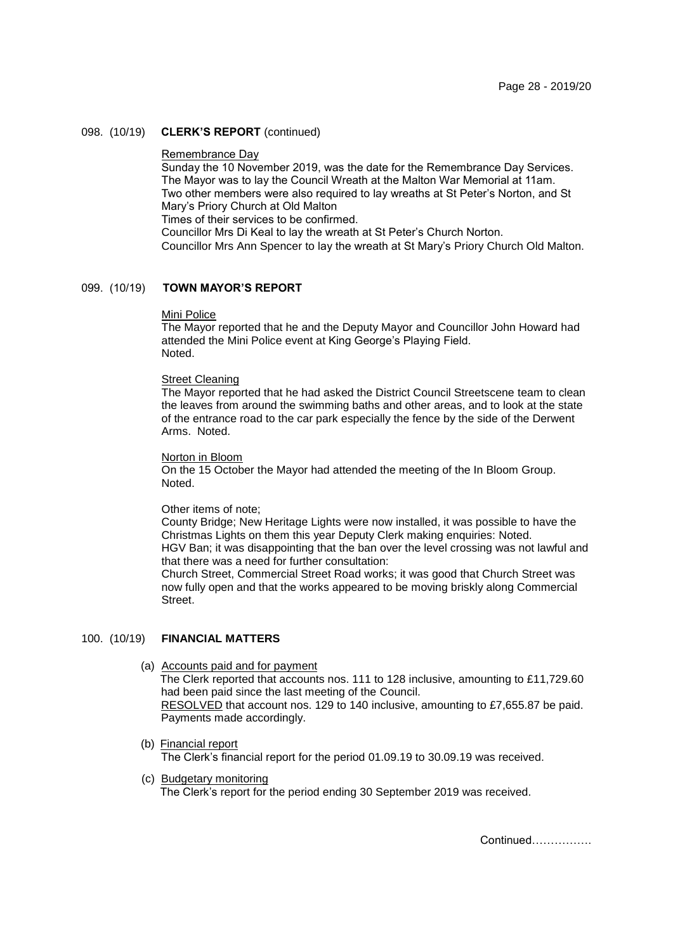## 098. (10/19) **CLERK'S REPORT** (continued)

#### Remembrance Day

Sunday the 10 November 2019, was the date for the Remembrance Day Services. The Mayor was to lay the Council Wreath at the Malton War Memorial at 11am. Two other members were also required to lay wreaths at St Peter's Norton, and St Mary's Priory Church at Old Malton

Times of their services to be confirmed.

Councillor Mrs Di Keal to lay the wreath at St Peter's Church Norton.

Councillor Mrs Ann Spencer to lay the wreath at St Mary's Priory Church Old Malton.

### 099. (10/19) **TOWN MAYOR'S REPORT**

#### Mini Police

The Mayor reported that he and the Deputy Mayor and Councillor John Howard had attended the Mini Police event at King George's Playing Field. Noted.

#### Street Cleaning

The Mayor reported that he had asked the District Council Streetscene team to clean the leaves from around the swimming baths and other areas, and to look at the state of the entrance road to the car park especially the fence by the side of the Derwent Arms. Noted.

## Norton in Bloom

On the 15 October the Mayor had attended the meeting of the In Bloom Group. Noted.

#### Other items of note;

County Bridge; New Heritage Lights were now installed, it was possible to have the Christmas Lights on them this year Deputy Clerk making enquiries: Noted.

HGV Ban; it was disappointing that the ban over the level crossing was not lawful and that there was a need for further consultation:

Church Street, Commercial Street Road works; it was good that Church Street was now fully open and that the works appeared to be moving briskly along Commercial Street.

# 100. (10/19) **FINANCIAL MATTERS**

- (a) Accounts paid and for payment The Clerk reported that accounts nos. 111 to 128 inclusive, amounting to £11,729.60 had been paid since the last meeting of the Council. RESOLVED that account nos. 129 to 140 inclusive, amounting to £7,655.87 be paid. Payments made accordingly.
- (b) Financial report The Clerk's financial report for the period 01.09.19 to 30.09.19 was received.
- (c) Budgetary monitoring The Clerk's report for the period ending 30 September 2019 was received.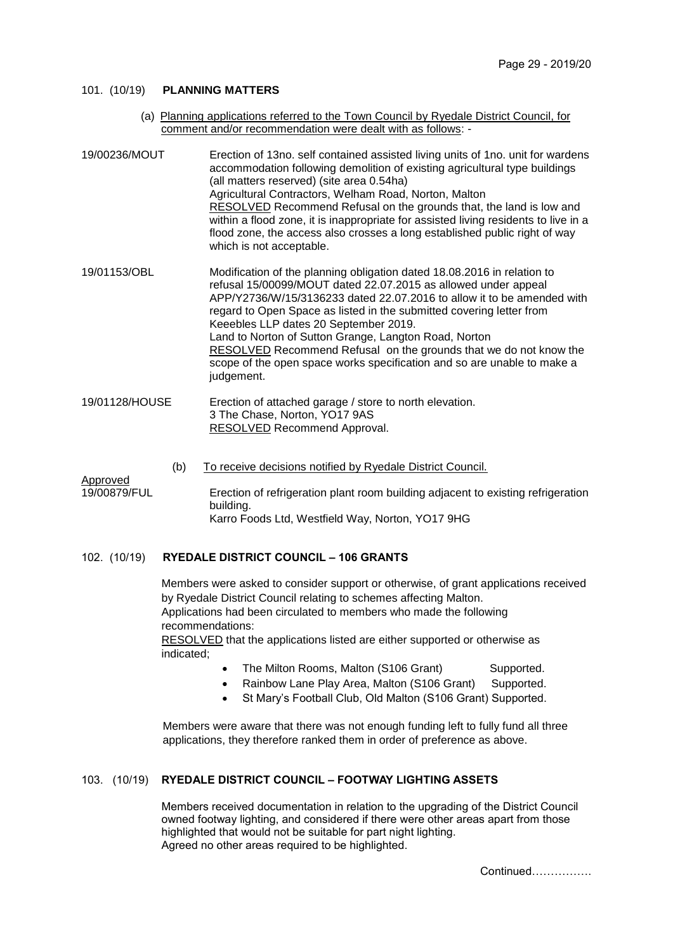## 101. (10/19) **PLANNING MATTERS**

(a) Planning applications referred to the Town Council by Ryedale District Council, for comment and/or recommendation were dealt with as follows: -

| 19/00236/MOUT  | Erection of 13no. self contained assisted living units of 1no. unit for wardens<br>accommodation following demolition of existing agricultural type buildings<br>(all matters reserved) (site area 0.54ha)<br>Agricultural Contractors, Welham Road, Norton, Malton<br>RESOLVED Recommend Refusal on the grounds that, the land is low and<br>within a flood zone, it is inappropriate for assisted living residents to live in a<br>flood zone, the access also crosses a long established public right of way<br>which is not acceptable.                 |
|----------------|-------------------------------------------------------------------------------------------------------------------------------------------------------------------------------------------------------------------------------------------------------------------------------------------------------------------------------------------------------------------------------------------------------------------------------------------------------------------------------------------------------------------------------------------------------------|
| 19/01153/OBL   | Modification of the planning obligation dated 18.08.2016 in relation to<br>refusal 15/00099/MOUT dated 22.07.2015 as allowed under appeal<br>APP/Y2736/W/15/3136233 dated 22.07.2016 to allow it to be amended with<br>regard to Open Space as listed in the submitted covering letter from<br>Keeebles LLP dates 20 September 2019.<br>Land to Norton of Sutton Grange, Langton Road, Norton<br>RESOLVED Recommend Refusal on the grounds that we do not know the<br>scope of the open space works specification and so are unable to make a<br>judgement. |
| 19/01128/HOUSE | Erection of attached garage / store to north elevation.<br>3 The Chase, Norton, YO17 9AS<br>RESOLVED Recommend Approval.                                                                                                                                                                                                                                                                                                                                                                                                                                    |

(b) To receive decisions notified by Ryedale District Council.

Approved

19/00879/FUL Erection of refrigeration plant room building adjacent to existing refrigeration building. Karro Foods Ltd, Westfield Way, Norton, YO17 9HG

## 102. (10/19) **RYEDALE DISTRICT COUNCIL – 106 GRANTS**

Members were asked to consider support or otherwise, of grant applications received by Ryedale District Council relating to schemes affecting Malton. Applications had been circulated to members who made the following recommendations: RESOLVED that the applications listed are either supported or otherwise as indicated;

- The Milton Rooms, Malton (S106 Grant) Supported.
- Rainbow Lane Play Area, Malton (S106 Grant) Supported.
- St Mary's Football Club, Old Malton (S106 Grant) Supported.

Members were aware that there was not enough funding left to fully fund all three applications, they therefore ranked them in order of preference as above.

## 103. (10/19) **RYEDALE DISTRICT COUNCIL – FOOTWAY LIGHTING ASSETS**

Members received documentation in relation to the upgrading of the District Council owned footway lighting, and considered if there were other areas apart from those highlighted that would not be suitable for part night lighting. Agreed no other areas required to be highlighted.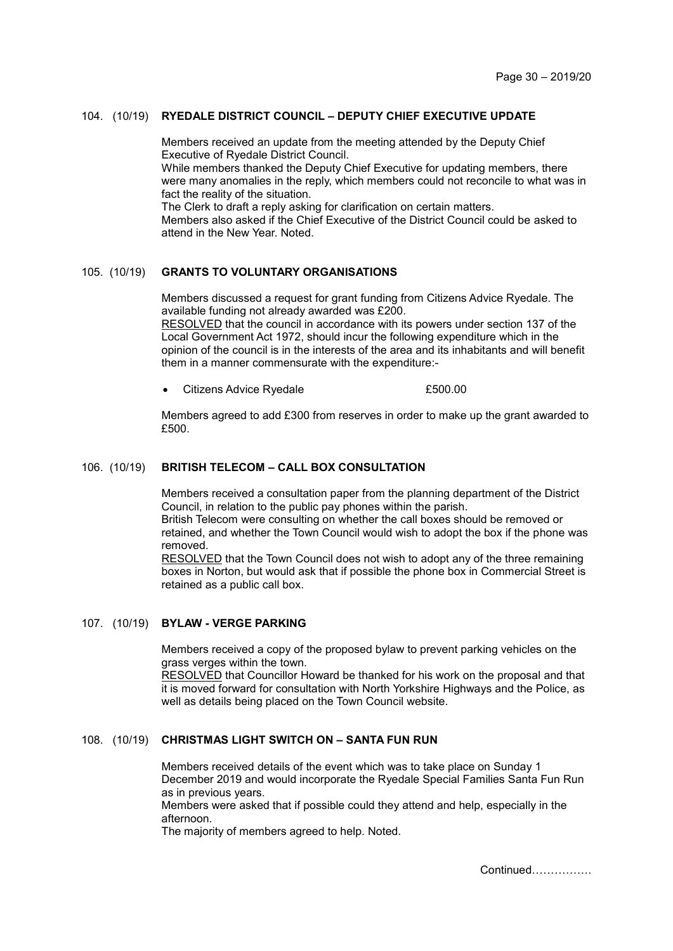## 104. (10/19) **RYEDALE DISTRICT COUNCIL – DEPUTY CHIEF EXECUTIVE UPDATE**

Members received an update from the meeting attended by the Deputy Chief Executive of Ryedale District Council. While members thanked the Deputy Chief Executive for updating members, there were many anomalies in the reply, which members could not reconcile to what was in fact the reality of the situation. The Clerk to draft a reply asking for clarification on certain matters. Members also asked if the Chief Executive of the District Council could be asked to attend in the New Year. Noted.

## 105. (10/19) **GRANTS TO VOLUNTARY ORGANISATIONS**

Members discussed a request for grant funding from Citizens Advice Ryedale. The available funding not already awarded was £200.

RESOLVED that the council in accordance with its powers under section 137 of the Local Government Act 1972, should incur the following expenditure which in the opinion of the council is in the interests of the area and its inhabitants and will benefit them in a manner commensurate with the expenditure:-

Citizens Advice Ryedale **E500.00** 

Members agreed to add £300 from reserves in order to make up the grant awarded to £500

## 106. (10/19) **BRITISH TELECOM – CALL BOX CONSULTATION**

Members received a consultation paper from the planning department of the District Council, in relation to the public pay phones within the parish. British Telecom were consulting on whether the call boxes should be removed or retained, and whether the Town Council would wish to adopt the box if the phone was removed.

RESOLVED that the Town Council does not wish to adopt any of the three remaining boxes in Norton, but would ask that if possible the phone box in Commercial Street is retained as a public call box.

# 107. (10/19) **BYLAW - VERGE PARKING**

Members received a copy of the proposed bylaw to prevent parking vehicles on the grass verges within the town.

RESOLVED that Councillor Howard be thanked for his work on the proposal and that it is moved forward for consultation with North Yorkshire Highways and the Police, as well as details being placed on the Town Council website.

# 108. (10/19) **CHRISTMAS LIGHT SWITCH ON – SANTA FUN RUN**

Members received details of the event which was to take place on Sunday 1 December 2019 and would incorporate the Ryedale Special Families Santa Fun Run as in previous years.

Members were asked that if possible could they attend and help, especially in the afternoon.

The majority of members agreed to help. Noted.